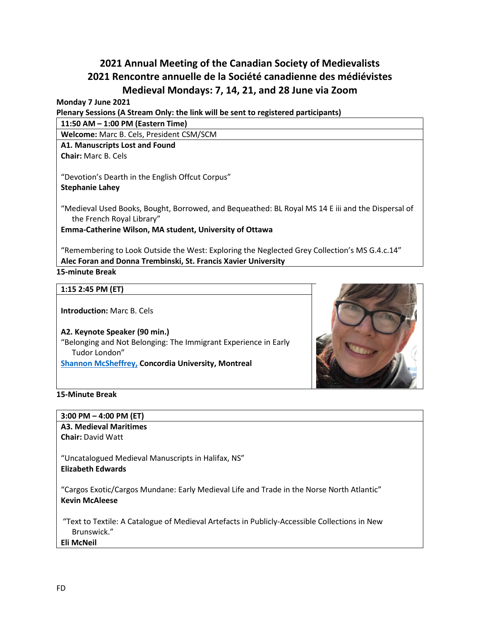# **2021 Annual Meeting of the Canadian Society of Medievalists 2021 Rencontre annuelle de la Société canadienne des médiévistes Medieval Mondays: 7, 14, 21, and 28 June via Zoom**

#### **Monday 7 June 2021**

**Plenary Sessions (A Stream Only: the link will be sent to registered participants)**

**11:50 AM – 1:00 PM (Eastern Time)**

**Welcome:** Marc B. Cels, President CSM/SCM

## **A1. Manuscripts Lost and Found**

**Chair:** Marc B. Cels

"Devotion's Dearth in the English Offcut Corpus"

#### **Stephanie Lahey**

"Medieval Used Books, Bought, Borrowed, and Bequeathed: BL Royal MS 14 E iii and the Dispersal of the French Royal Library"

**Emma-Catherine Wilson, MA student, University of Ottawa**

"Remembering to Look Outside the West: Exploring the Neglected Grey Collection's MS G.4.c.14" **Alec Foran and Donna Trembinski, St. Francis Xavier University**

## **15-minute Break**

#### **1:15 2:45 PM (ET)**

**Introduction:** Marc B. Cels

**A2. Keynote Speaker (90 min.)** "Belonging and Not Belonging: The Immigrant Experience in Early Tudor London" **[Shannon McSheffrey,](https://www.concordia.ca/artsci/history/faculty.html?fpid=shannon-mcsheffrey) Concordia University, Montreal**



### **15-Minute Break**

**3:00 PM – 4:00 PM (ET)**

# **A3. Medieval Maritimes**

**Chair:** David Watt

"Uncatalogued Medieval Manuscripts in Halifax, NS" **Elizabeth Edwards**

"Cargos Exotic/Cargos Mundane: Early Medieval Life and Trade in the Norse North Atlantic" **Kevin McAleese**

"Text to Textile: A Catalogue of Medieval Artefacts in Publicly-Accessible Collections in New Brunswick."

#### **Eli McNeil**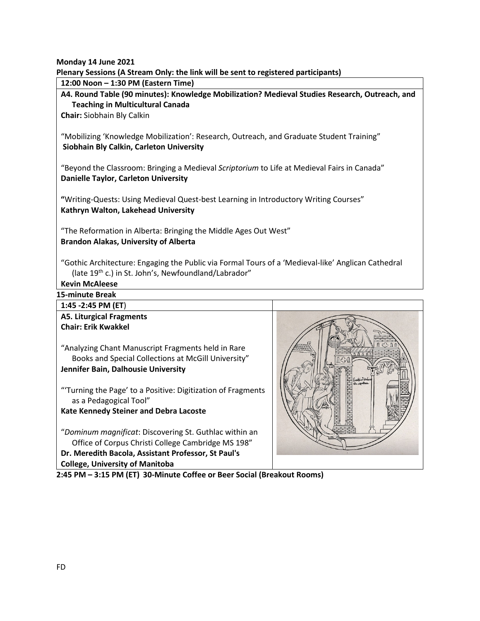**Monday 14 June 2021**

**Plenary Sessions (A Stream Only: the link will be sent to registered participants)**

**12:00 Noon – 1:30 PM (Eastern Time)**

**A4. Round Table (90 minutes): Knowledge Mobilization? Medieval Studies Research, Outreach, and Teaching in Multicultural Canada** 

**Chair:** Siobhain Bly Calkin

"Mobilizing 'Knowledge Mobilization': Research, Outreach, and Graduate Student Training" **Siobhain Bly Calkin, Carleton University**

"Beyond the Classroom: Bringing a Medieval *Scriptorium* to Life at Medieval Fairs in Canada" **Danielle Taylor, Carleton University**

**"**Writing-Quests: Using Medieval Quest-best Learning in Introductory Writing Courses" **Kathryn Walton, Lakehead University**

"The Reformation in Alberta: Bringing the Middle Ages Out West" **Brandon Alakas, University of Alberta**

"Gothic Architecture: Engaging the Public via Formal Tours of a 'Medieval-like' Anglican Cathedral (late 19<sup>th</sup> c.) in St. John's, Newfoundland/Labrador"

**Kevin McAleese** 

**15-minute Break**

**1:45 -2:45 PM (ET**) **A5. Liturgical Fragments Chair: Erik Kwakkel**  "Analyzing Chant Manuscript Fragments held in Rare Books and Special Collections at McGill University" **Jennifer Bain, Dalhousie University** "'Turning the Page' to a Positive: Digitization of Fragments as a Pedagogical Tool" **Kate Kennedy Steiner and Debra Lacoste** "*Dominum magnificat*: Discovering St. Guthlac within an Office of Corpus Christi College Cambridge MS 198" **Dr. Meredith Bacola, Assistant Professor, St Paul's College, University of Manitoba 2:45 PM – 3:15 PM (ET) 30-Minute Coffee or Beer Social (Breakout Rooms)**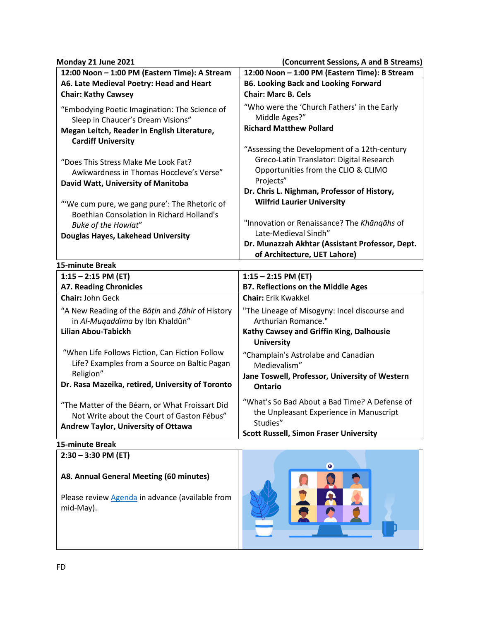## **Monday 21 June 2021 (Concurrent Sessions, A and B Streams)**

| ivionaay zi june zuzi                                                                                                                                                                                                                                                                                                                                                                                                                                    | (Concurrent Sessions, A and B Streams)                                                                                                                                                                                                                                                                                                                                                                                                                       |
|----------------------------------------------------------------------------------------------------------------------------------------------------------------------------------------------------------------------------------------------------------------------------------------------------------------------------------------------------------------------------------------------------------------------------------------------------------|--------------------------------------------------------------------------------------------------------------------------------------------------------------------------------------------------------------------------------------------------------------------------------------------------------------------------------------------------------------------------------------------------------------------------------------------------------------|
| 12:00 Noon - 1:00 PM (Eastern Time): A Stream                                                                                                                                                                                                                                                                                                                                                                                                            | 12:00 Noon - 1:00 PM (Eastern Time): B Stream                                                                                                                                                                                                                                                                                                                                                                                                                |
| A6. Late Medieval Poetry: Head and Heart                                                                                                                                                                                                                                                                                                                                                                                                                 | <b>B6. Looking Back and Looking Forward</b>                                                                                                                                                                                                                                                                                                                                                                                                                  |
| <b>Chair: Kathy Cawsey</b>                                                                                                                                                                                                                                                                                                                                                                                                                               | <b>Chair: Marc B. Cels</b>                                                                                                                                                                                                                                                                                                                                                                                                                                   |
| "Embodying Poetic Imagination: The Science of<br>Sleep in Chaucer's Dream Visions"<br>Megan Leitch, Reader in English Literature,<br><b>Cardiff University</b><br>"Does This Stress Make Me Look Fat?<br>Awkwardness in Thomas Hoccleve's Verse"<br>David Watt, University of Manitoba<br>"'We cum pure, we gang pure': The Rhetoric of<br><b>Boethian Consolation in Richard Holland's</b><br>Buke of the Howlat"<br>Douglas Hayes, Lakehead University | "Who were the 'Church Fathers' in the Early<br>Middle Ages?"<br><b>Richard Matthew Pollard</b><br>"Assessing the Development of a 12th-century<br>Greco-Latin Translator: Digital Research<br>Opportunities from the CLIO & CLIMO<br>Projects"<br>Dr. Chris L. Nighman, Professor of History,<br><b>Wilfrid Laurier University</b><br>"Innovation or Renaissance? The Khangahs of<br>Late-Medieval Sindh"<br>Dr. Munazzah Akhtar (Assistant Professor, Dept. |
|                                                                                                                                                                                                                                                                                                                                                                                                                                                          | of Architecture, UET Lahore)                                                                                                                                                                                                                                                                                                                                                                                                                                 |
| 15-minute Break<br>$1:15 - 2:15$ PM (ET)                                                                                                                                                                                                                                                                                                                                                                                                                 | $1:15 - 2:15$ PM (ET)                                                                                                                                                                                                                                                                                                                                                                                                                                        |
| <b>A7. Reading Chronicles</b>                                                                                                                                                                                                                                                                                                                                                                                                                            | <b>B7. Reflections on the Middle Ages</b>                                                                                                                                                                                                                                                                                                                                                                                                                    |
| <b>Chair: John Geck</b>                                                                                                                                                                                                                                                                                                                                                                                                                                  | <b>Chair: Erik Kwakkel</b>                                                                                                                                                                                                                                                                                                                                                                                                                                   |
| "A New Reading of the Batin and Zahir of History<br>in Al-Mugaddima by Ibn Khaldūn"<br><b>Lilian Abou-Tabickh</b>                                                                                                                                                                                                                                                                                                                                        | "The Lineage of Misogyny: Incel discourse and<br>Arthurian Romance."<br>Kathy Cawsey and Griffin King, Dalhousie<br><b>University</b>                                                                                                                                                                                                                                                                                                                        |
| "When Life Follows Fiction, Can Fiction Follow<br>Life? Examples from a Source on Baltic Pagan<br>Religion"<br>Dr. Rasa Mazeika, retired, University of Toronto                                                                                                                                                                                                                                                                                          | "Champlain's Astrolabe and Canadian<br>Medievalism"<br>Jane Toswell, Professor, University of Western<br><b>Ontario</b>                                                                                                                                                                                                                                                                                                                                      |
| "The Matter of the Béarn, or What Froissart Did<br>Not Write about the Court of Gaston Fébus"<br>Andrew Taylor, University of Ottawa                                                                                                                                                                                                                                                                                                                     | "What's So Bad About a Bad Time? A Defense of<br>the Unpleasant Experience in Manuscript<br>Studies"<br><b>Scott Russell, Simon Fraser University</b>                                                                                                                                                                                                                                                                                                        |

## **15-minute Break**

| $2:30 - 3:30$ PM (ET)                                        |  | $\bullet$ |  |
|--------------------------------------------------------------|--|-----------|--|
| A8. Annual General Meeting (60 minutes)                      |  |           |  |
| Please review Agenda in advance (available from<br>mid-May). |  |           |  |